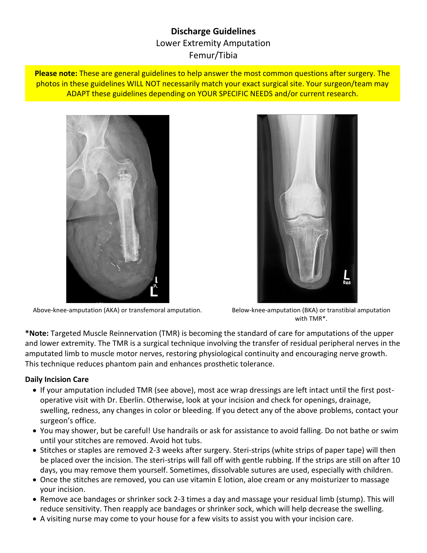# **Discharge Guidelines** Lower Extremity Amputation Femur/Tibia

**Please note:** These are general guidelines to help answer the most common questions after surgery. The photos in these guidelines WILL NOT necessarily match your exact surgical site. Your surgeon/team may ADAPT these guidelines depending on YOUR SPECIFIC NEEDS and/or current research.



Above-knee-amputation (AKA) or transfemoral amputation. Below-knee-amputation (BKA) or transtibial amputation



with TMR\*.

**\*Note:** Targeted Muscle Reinnervation (TMR) is becoming the standard of care for amputations of the upper and lower extremity. The TMR is a surgical technique involving the transfer of residual peripheral nerves in the amputated limb to muscle motor nerves, restoring physiological continuity and encouraging nerve growth. This technique reduces phantom pain and enhances prosthetic tolerance.

#### **Daily Incision Care**

- If your amputation included TMR (see above), most ace wrap dressings are left intact until the first postoperative visit with Dr. Eberlin. Otherwise, look at your incision and check for openings, drainage, swelling, redness, any changes in color or bleeding. If you detect any of the above problems, contact your surgeon's office.
- You may shower, but be careful! Use handrails or ask for assistance to avoid falling. Do not bathe or swim until your stitches are removed. Avoid hot tubs.
- Stitches or staples are removed 2-3 weeks after surgery. Steri-strips (white strips of paper tape) will then be placed over the incision. The steri-strips will fall off with gentle rubbing. If the strips are still on after 10 days, you may remove them yourself. Sometimes, dissolvable sutures are used, especially with children.
- Once the stitches are removed, you can use vitamin E lotion, aloe cream or any moisturizer to massage your incision.
- Remove ace bandages or shrinker sock 2-3 times a day and massage your residual limb (stump). This will reduce sensitivity. Then reapply ace bandages or shrinker sock, which will help decrease the swelling.
- A visiting nurse may come to your house for a few visits to assist you with your incision care.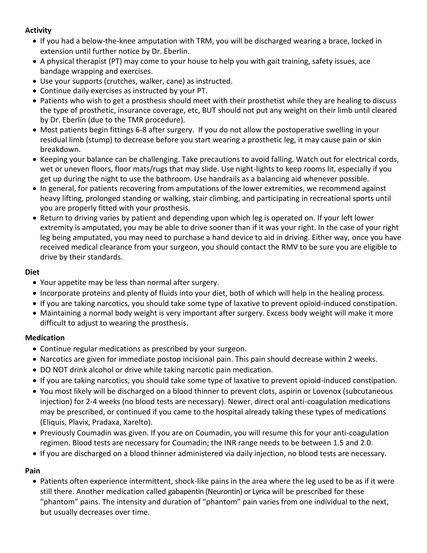### **Activity**

- If you had a below-the-knee amputation with TRM, you will be discharged wearing a brace, locked in extension until further notice by Dr. Eberlin.
- A physical therapist (PT) may come to your house to help you with gait training, safety issues, ace bandage wrapping and exercises.
- Use your supports (crutches, walker, cane) as instructed.
- Continue daily exercises as instructed by your PT.
- Patients who wish to get a prosthesis should meet with their prosthetist while they are healing to discuss the type of prosthetic, insurance coverage, etc, BUT should not put any weight on their limb until cleared by Dr. Eberlin (due to the TMR procedure).
- Most patients begin fittings 6-8 after surgery. If you do not allow the postoperative swelling in your residual limb (stump) to decrease before you start wearing a prosthetic leg, it may cause pain or skin breakdown.
- Keeping your balance can be challenging. Take precautions to avoid falling. Watch out for electrical cords, wet or uneven floors, floor mats/rugs that may slide. Use night-lights to keep rooms lit, especially if you get up during the night to use the bathroom. Use handrails as a balancing aid whenever possible.
- In general, for patients recovering from amputations of the lower extremities, we recommend against heavy lifting, prolonged standing or walking, stair climbing, and participating in recreational sports until you are properly fitted with your prosthesis.
- Return to driving varies by patient and depending upon which leg is operated on. If your left lower extremity is amputated, you may be able to drive sooner than if it was your right. In the case of your right leg being amputated, you may need to purchase a hand device to aid in driving. Either way, once you have received medical clearance from your surgeon, you should contact the RMV to be sure you are eligible to drive by their standards.

#### **Diet**

- Your appetite may be less than normal after surgery.
- Incorporate proteins and plenty of fluids into your diet, both of which will help in the healing process.
- If you are taking narcotics, you should take some type of laxative to prevent opioid-induced constipation.
- Maintaining a normal body weight is very important after surgery. Excess body weight will make it more difficult to adjust to wearing the prosthesis.

# **Medication**

- Continue regular medications as prescribed by your surgeon.
- Narcotics are given for immediate postop incisional pain. This pain should decrease within 2 weeks.
- DO NOT drink alcohol or drive while taking narcotic pain medication.
- If you are taking narcotics, you should take some type of laxative to prevent opioid-induced constipation.
- You most likely will be discharged on a blood thinner to prevent clots, aspirin or Lovenox (subcutaneous injection) for 2-4 weeks (no blood tests are necessary). Newer, direct oral anti-coagulation medications may be prescribed, or continued if you came to the hospital already taking these types of medications (Eliquis, Plavix, Pradaxa, Xarelto).
- Previously Coumadin was given. If you are on Coumadin, you will resume this for your anti-coagulation regimen. Blood tests are necessary for Coumadin; the INR range needs to be between 1.5 and 2.0.
- If you are discharged on a blood thinner administered via daily injection, no blood tests are necessary.

# **Pain**

• Patients often experience intermittent, shock-like pains in the area where the leg used to be as if it were still there. Another medication called gabapentin (Neurontin) or Lyrica will be prescribed for these "phantom" pains. The intensity and duration of "phantom" pain varies from one individual to the next, but usually decreases over time.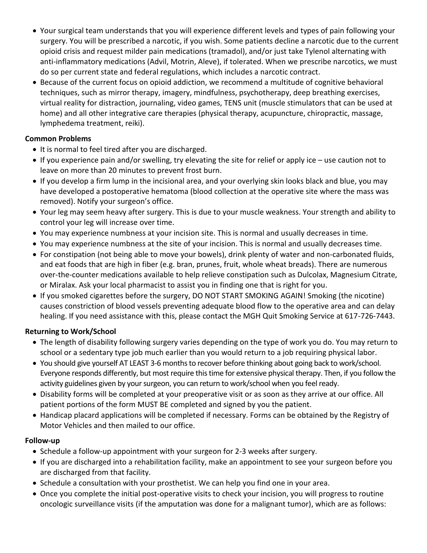- Your surgical team understands that you will experience different levels and types of pain following your surgery. You will be prescribed a narcotic, if you wish. Some patients decline a narcotic due to the current opioid crisis and request milder pain medications (tramadol), and/or just take Tylenol alternating with anti-inflammatory medications (Advil, Motrin, Aleve), if tolerated. When we prescribe narcotics, we must do so per current state and federal regulations, which includes a narcotic contract.
- Because of the current focus on opioid addiction, we recommend a multitude of cognitive behavioral techniques, such as mirror therapy, imagery, mindfulness, psychotherapy, deep breathing exercises, virtual reality for distraction, journaling, video games, TENS unit (muscle stimulators that can be used at home) and all other integrative care therapies (physical therapy, acupuncture, chiropractic, massage, lymphedema treatment, reiki).

# **Common Problems**

- It is normal to feel tired after you are discharged.
- If you experience pain and/or swelling, try elevating the site for relief or apply ice use caution not to leave on more than 20 minutes to prevent frost burn.
- If you develop a firm lump in the incisional area, and your overlying skin looks black and blue, you may have developed a postoperative hematoma (blood collection at the operative site where the mass was removed). Notify your surgeon's office.
- Your leg may seem heavy after surgery. This is due to your muscle weakness. Your strength and ability to control your leg will increase over time.
- You may experience numbness at your incision site. This is normal and usually decreases in time.
- You may experience numbness at the site of your incision. This is normal and usually decreases time.
- For constipation (not being able to move your bowels), drink plenty of water and non-carbonated fluids, and eat foods that are high in fiber (e.g. bran, prunes, fruit, whole wheat breads). There are numerous over-the-counter medications available to help relieve constipation such as Dulcolax, Magnesium Citrate, or Miralax. Ask your local pharmacist to assist you in finding one that is right for you.
- If you smoked cigarettes before the surgery, DO NOT START SMOKING AGAIN! Smoking (the nicotine) causes constriction of blood vessels preventing adequate blood flow to the operative area and can delay healing. If you need assistance with this, please contact the MGH Quit Smoking Service at 617-726-7443.

# **Returning to Work/School**

- The length of disability following surgery varies depending on the type of work you do. You may return to school or a sedentary type job much earlier than you would return to a job requiring physical labor.
- You should give yourself AT LEAST 3-6 months to recover before thinking about going back to work/school. Everyone responds differently, but most require this time for extensive physical therapy. Then, if you follow the activity guidelines given by your surgeon, you can return to work/school when you feel ready.
- Disability forms will be completed at your preoperative visit or as soon as they arrive at our office. All patient portions of the form MUST BE completed and signed by you the patient.
- Handicap placard applications will be completed if necessary. Forms can be obtained by the Registry of Motor Vehicles and then mailed to our office.

#### **Follow-up**

- Schedule a follow-up appointment with your surgeon for 2-3 weeks after surgery.
- If you are discharged into a rehabilitation facility, make an appointment to see your surgeon before you are discharged from that facility.
- Schedule a consultation with your prosthetist. We can help you find one in your area.
- Once you complete the initial post-operative visits to check your incision, you will progress to routine oncologic surveillance visits (if the amputation was done for a malignant tumor), which are as follows: